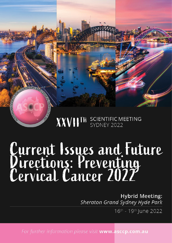# XXVIITH SCIENTIFIC MEETING

# Current Issues and Future<br>Directions: Preventing<br>Cervical Cancer 2022

**Hybrid Meeting:** Sheraton Grand Sydney Hyde Park

16th - 19th June 2022

For further information please visit www.asccp.com.au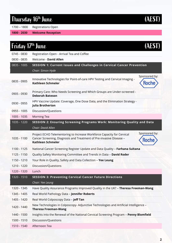#### Thursday 16<sup>th</sup> June

(AEST)

1700 – 1800 Registrations Open

**1800 - 2030 Welcome Reception**

| Friday 17th June |                                                                                                                                                                                                            |  |
|------------------|------------------------------------------------------------------------------------------------------------------------------------------------------------------------------------------------------------|--|
| 0745 - 0830      | Registration Open - Arrival Tea and Coffee                                                                                                                                                                 |  |
| 0830 - 0835      | Welcome - David Allen                                                                                                                                                                                      |  |
| 0835 - 1005      | SESSION 1: Current Issues and Challenges in Cervical Cancer Prevention                                                                                                                                     |  |
|                  | Chair: Simon Hyde                                                                                                                                                                                          |  |
| 0835 - 0905      | Sponsored by:<br>Innovative Technologies for Point-of-care HPV Testing and Cervical Imaging -<br><b>Roche</b><br><b>Kathleen Schmeler</b>                                                                  |  |
| 0905 - 0930      | Primary Care: Who Needs Screening and Which Groups are Under-screened -<br><b>Deborah Bateson</b>                                                                                                          |  |
| 0930 - 0955      | HPV Vaccine Update: Coverage, One Dose Data, and the Elimination Strategy -<br><b>Julia Brotherton</b>                                                                                                     |  |
| 0955 - 1005      | Discussion/Questions                                                                                                                                                                                       |  |
| 1005 - 1035      | <b>Morning Tea</b>                                                                                                                                                                                         |  |
| 1035 - 1220      | SESSION 2: Ensuring Screening Programs Work: Monitoring Quality and Data                                                                                                                                   |  |
|                  | Chair: David Allen                                                                                                                                                                                         |  |
| 1035 - 1100      | Sponsored by:<br>Project ECHO Telementoring to Increase Workforce Capacity for Cervical<br>Cancer Screening, Diagnosis and Treatment of Pre-invasive Disease -<br><b>Roche</b><br><b>Kathleen Schmeler</b> |  |
| 1100 - 1125      | National Cancer Screening Register Update and Data Quality - Farhana Sultana                                                                                                                               |  |
| 1125 - 1150      | Quality Safety Monitoring Committee and Trends in Data - David Roder                                                                                                                                       |  |
| 1150 - 1210      | Your Role in Quality, Safety and Data Collection - Yee Leung                                                                                                                                               |  |
| 1210 - 1220      | Discussion/Questions                                                                                                                                                                                       |  |
| 1220 - 1320      | Lunch                                                                                                                                                                                                      |  |
| 1320 - 1510      | <b>SESSION 3: Preventing Cervical Cancer Future Directions</b>                                                                                                                                             |  |
|                  | Chair: Yee Leung                                                                                                                                                                                           |  |
| 1320 - 1345      | Have Quality Assurance Programs Improved Quality in the UK? - Theresa Freeman-Wang                                                                                                                         |  |
| 1345 - 1405      | Real World Pathology Data - Jennifer Roberts                                                                                                                                                               |  |
| 1405 - 1420      | Real World Colposcopy Data - Jeff Tan                                                                                                                                                                      |  |
| 1420 - 1440      | New Technologies in Colposcopy- Adjunctive Technologies and Artificial Intelligence -<br><b>Theresa Freeman-Wang</b>                                                                                       |  |
| 1440 - 1500      | Insights into the Renewal of the National Cervical Screening Program - Penny Blomfield                                                                                                                     |  |
| 1500 - 1510      | Discussion/Questions                                                                                                                                                                                       |  |
| 1510 - 1540      | Afternoon Tea                                                                                                                                                                                              |  |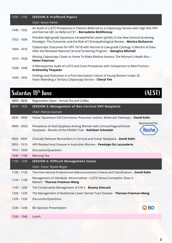| 1540 - 1700 | <b>SESSION 4: Proffered Papers</b>                                                                                                                                               |
|-------------|----------------------------------------------------------------------------------------------------------------------------------------------------------------------------------|
|             | Chair: Selvan Pather                                                                                                                                                             |
| 1540 - 1552 | An Audit of LLETZ Procedures in Patients Referred to a Colposcopy Service with High Risk HPV<br>and Normal LBC on Referral CST - Bernadette McElhinney                           |
| 1552 - 1604 | Possible High-grade Squamous Intraepithelial Lesion (pHSIL) in the New Cervical Screening<br>Paradigm: The Outcomes and the Role of Clinicopathological Review - Monica McGauran |
| 1604 - 1616 | Colposcopic Outcomes for HPV 16/18 with Normal to Low-grade Cytology: 6 Months of Data<br>After the Renewed National Cervical Screening Program - Georgina Mitchell              |
| 1616 - 1628 | Moving Colposcopy Closer to Home Te Waka Wahine Hauora: The Woman's Health Bus -<br><b>Helen Paterson</b>                                                                        |
| 1628 - 1640 | A Retrospective Audit of LLETZ and Cone Procedures with Comparison to Best Practice -<br><b>Krishanthy Thayalan</b>                                                              |
| 1640 - 1652 | Findings and Outcomes in a Post-Vaccination Cohort of Young Women Under 25<br>Years Attending a Tertiary Colposcopy Service - Cheryl Yim                                         |

## Saturday 18<sup>th</sup> June

| 0800 - 0830   | Registration Open - Arrival Tea and Coffee                                                                                                                           |
|---------------|----------------------------------------------------------------------------------------------------------------------------------------------------------------------|
| 0830 - 1030   | <b>SESSION 5: Management of Non Cervical HPV Neoplasia</b>                                                                                                           |
|               | Chair: Patricia Guzman                                                                                                                                               |
| 0830 - 0900   | Vulvar Squamous Cell Carcinoma: Precursor Lesions, Molecular Pathways - David Kolin                                                                                  |
| $0900 - 0925$ | Sponsored by:<br>Prevalence of Anal Dysplasia Among Women with Cervical/Vaginal/Vulvar<br><b>Roche</b><br>Dysplasia - Results of the PANDA Trial - Kathleen Schmeler |
| 0925 - 0955   | Clinically Relevant Biomarkers in Cervical and Vulvar Neoplasia - David Kolin                                                                                        |
| 0955 - 1015   | HPV Related Anal Disease in Australian Women - Penelope De Lacavalerie                                                                                               |
| 1015 - 1030   | Discussion/Questions                                                                                                                                                 |
| 1030 - 1100   | <b>Morning Tea</b>                                                                                                                                                   |
| 1100 - 1230   | <b>SESSION 6: Difficult Management Issues</b>                                                                                                                        |
|               | Chair: Trevor Tejada-Berges                                                                                                                                          |
| 1100 - 1120   | The International Endocervical Adenocarcinoma Criteria and Classification - David Kolin                                                                              |
| 1120 - 1140   | Management of Glandular Abnormalities - LLETZ Versus Conisation: Does it<br>Matter? - Theresa Freeman-Wang                                                           |
| 1140 - 1200   | The Conservative Management of CIN 2 - Bryony Simcock                                                                                                                |
| 1200 - 1220   | The Management of Multizonal Lower Genital Tract Disease - Theresa Freeman-Wang                                                                                      |
| 1220 - 1230   | Discussion/Questions                                                                                                                                                 |
| 1230 - 1240   | <b>BD</b><br><b>BD Sponsor Presentation</b>                                                                                                                          |
| 1240 - 1340   | Lunch                                                                                                                                                                |
|               |                                                                                                                                                                      |